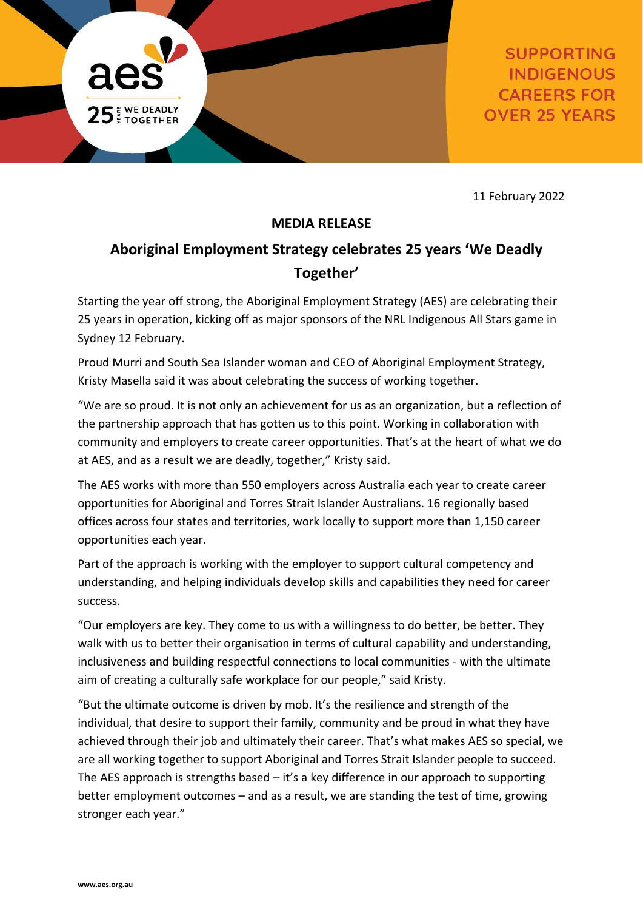

**SUPPORTING INDIGENOUS CAREERS FOR OVER 25 YEARS** 

11 February 2022

# **MEDIA RELEASE**

# **Aboriginal Employment Strategy celebrates 25 years 'We Deadly Together'**

Starting the year off strong, the Aboriginal Employment Strategy (AES) are celebrating their 25 years in operation, kicking off as major sponsors of the NRL Indigenous All Stars game in Sydney 12 February.

Proud Murri and South Sea Islander woman and CEO of Aboriginal Employment Strategy, Kristy Masella said it was about celebrating the success of working together.

"We are so proud. It is not only an achievement for us as an organization, but a reflection of the partnership approach that has gotten us to this point. Working in collaboration with community and employers to create career opportunities. That's at the heart of what we do at AES, and as a result we are deadly, together," Kristy said.

The AES works with more than 550 employers across Australia each year to create career opportunities for Aboriginal and Torres Strait Islander Australians. 16 regionally based offices across four states and territories, work locally to support more than 1,150 career opportunities each year.

Part of the approach is working with the employer to support cultural competency and understanding, and helping individuals develop skills and capabilities they need for career success.

"Our employers are key. They come to us with a willingness to do better, be better. They walk with us to better their organisation in terms of cultural capability and understanding, inclusiveness and building respectful connections to local communities - with the ultimate aim of creating a culturally safe workplace for our people," said Kristy.

"But the ultimate outcome is driven by mob. It's the resilience and strength of the individual, that desire to support their family, community and be proud in what they have achieved through their job and ultimately their career. That's what makes AES so special, we are all working together to support Aboriginal and Torres Strait Islander people to succeed. The AES approach is strengths based – it's a key difference in our approach to supporting better employment outcomes – and as a result, we are standing the test of time, growing stronger each year."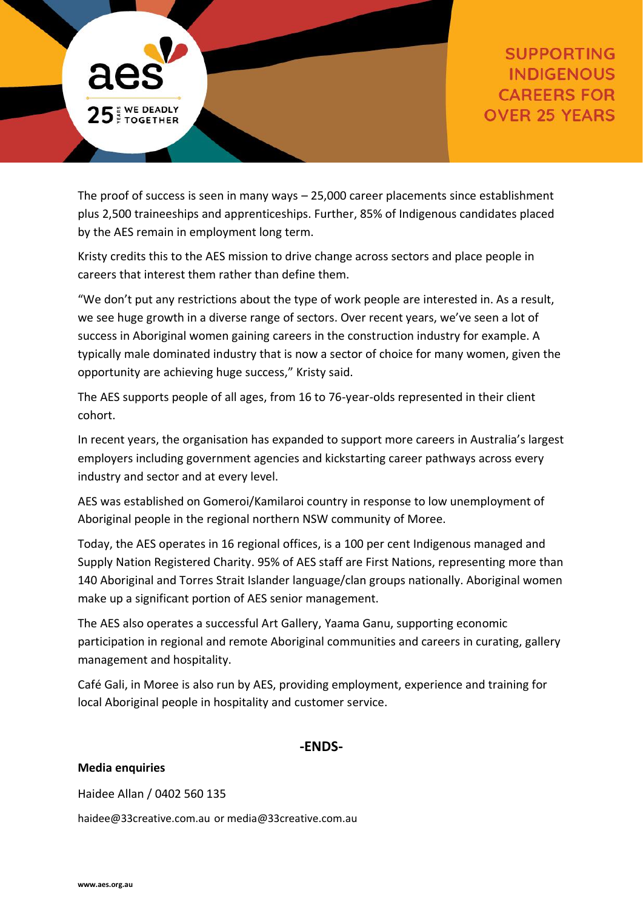

The proof of success is seen in many ways – 25,000 career placements since establishment plus 2,500 traineeships and apprenticeships. Further, 85% of Indigenous candidates placed by the AES remain in employment long term.

Kristy credits this to the AES mission to drive change across sectors and place people in careers that interest them rather than define them.

"We don't put any restrictions about the type of work people are interested in. As a result, we see huge growth in a diverse range of sectors. Over recent years, we've seen a lot of success in Aboriginal women gaining careers in the construction industry for example. A typically male dominated industry that is now a sector of choice for many women, given the opportunity are achieving huge success," Kristy said.

The AES supports people of all ages, from 16 to 76-year-olds represented in their client cohort.

In recent years, the organisation has expanded to support more careers in Australia's largest employers including government agencies and kickstarting career pathways across every industry and sector and at every level.

AES was established on Gomeroi/Kamilaroi country in response to low unemployment of Aboriginal people in the regional northern NSW community of Moree.

Today, the AES operates in 16 regional offices, is a 100 per cent Indigenous managed and Supply Nation Registered Charity. 95% of AES staff are First Nations, representing more than 140 Aboriginal and Torres Strait Islander language/clan groups nationally. Aboriginal women make up a significant portion of AES senior management.

The AES also operates a successful Art Gallery, Yaama Ganu, supporting economic participation in regional and remote Aboriginal communities and careers in curating, gallery management and hospitality.

Café Gali, in Moree is also run by AES, providing employment, experience and training for local Aboriginal people in hospitality and customer service.

## **-ENDS-**

### **Media enquiries**

Haidee Allan / 0402 560 135

[haidee@33creative.com.au](mailto:haidee@33creative.com.au) or [media@33creative.com.au](mailto:media@33creative.com.au)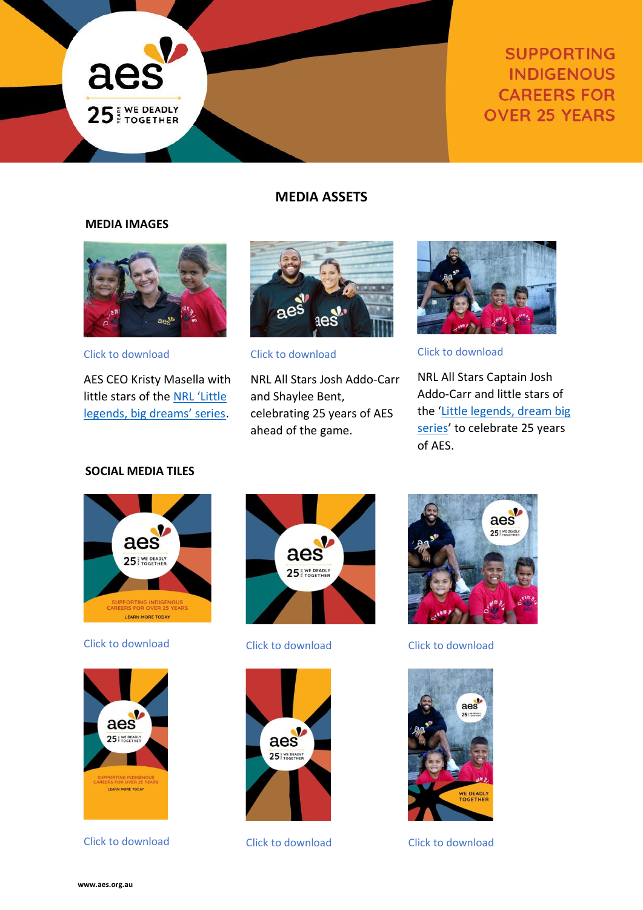

# **SUPPORTING INDIGENOUS CAREERS FOR OVER 25 YEARS**

### **MEDIA ASSETS**

#### **MEDIA IMAGES**



[Click to download](https://www.dropbox.com/s/v91t5b46mm0bvs0/DSC05054.JPG?dl=0)

AES CEO Kristy Masella with little stars of the [NRL 'Little](https://www.nrl.com/news/2022/02/09/little-yarns-big-dreams/)  [legends, big dreams' series](https://www.nrl.com/news/2022/02/09/little-yarns-big-dreams/).



[Click to download](https://www.dropbox.com/s/ktmoqch8pore9b4/DSC04994.JPG?dl=0)

NRL All Stars Josh Addo-Carr and Shaylee Bent, celebrating 25 years of AES ahead of the game.



[Click to download](https://www.dropbox.com/s/s3xe2drmia4t8hp/DSC04923.JPG?dl=0)

NRL All Stars Captain Josh Addo-Carr and little stars of the '[Little legends, dream big](https://www.nrl.com/news/2022/02/09/little-yarns-big-dreams/)  [series](https://www.nrl.com/news/2022/02/09/little-yarns-big-dreams/)' to celebrate 25 years of AES.

#### **SOCIAL MEDIA TILES**



#### [Click to download](https://www.dropbox.com/s/j5gy07kv87oufik/33C_2237_AES_social_tiles_square_25%20years.jpg?dl=0) [Click to download](https://www.dropbox.com/s/su748o7hdn82gck/33C_2237_AES_social_tiles_square_brand.jpg?dl=0) [Click to download](https://www.dropbox.com/s/p1ymho9vhbppnhv/33C_2237_AES_social_tiles_square_NRL.jpg?dl=0)



[Click to download](https://www.dropbox.com/s/eysrnaxlkunf5ti/33C_2237_AES_social_tiles_story_25%20years_NRL_option%202.jpg?dl=0) [Click to download](https://www.dropbox.com/s/ozhxceeyb53bcy3/33C_2237_AES_social_tiles_story_brand.jpg?dl=0) [Click to download](https://www.dropbox.com/s/eysrnaxlkunf5ti/33C_2237_AES_social_tiles_story_25%20years_NRL_option%202.jpg?dl=0)